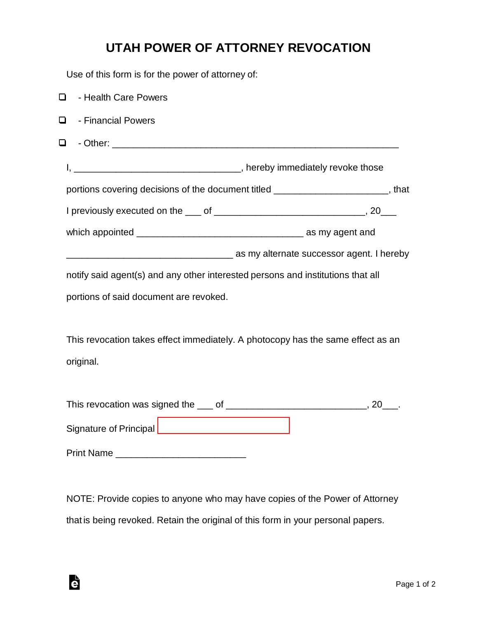## **UTAH POWER OF ATTORNEY REVOCATION**

Use of this form is for the power of attorney of:

| - Health Care Powers<br>0                                                       |                                                                                                                                                                                                                                |
|---------------------------------------------------------------------------------|--------------------------------------------------------------------------------------------------------------------------------------------------------------------------------------------------------------------------------|
| - Financial Powers<br>0                                                         |                                                                                                                                                                                                                                |
| ❏.                                                                              |                                                                                                                                                                                                                                |
|                                                                                 |                                                                                                                                                                                                                                |
|                                                                                 | portions covering decisions of the document titled __________________________, that                                                                                                                                            |
|                                                                                 |                                                                                                                                                                                                                                |
|                                                                                 |                                                                                                                                                                                                                                |
|                                                                                 | as my alternate successor agent. I hereby in the contract of the contract of the contract of the contract of the contract of the contract of the contract of the contract of the contract of the contract of the contract of t |
| notify said agent(s) and any other interested persons and institutions that all |                                                                                                                                                                                                                                |
| portions of said document are revoked.                                          |                                                                                                                                                                                                                                |
|                                                                                 |                                                                                                                                                                                                                                |
| This revocation takes effect immediately. A photocopy has the same effect as an |                                                                                                                                                                                                                                |
| original.                                                                       |                                                                                                                                                                                                                                |
|                                                                                 |                                                                                                                                                                                                                                |
|                                                                                 |                                                                                                                                                                                                                                |
|                                                                                 |                                                                                                                                                                                                                                |
| Print Name                                                                      |                                                                                                                                                                                                                                |
|                                                                                 |                                                                                                                                                                                                                                |

NOTE: Provide copies to anyone who may have copies of the Power of Attorney that is being revoked. Retain the original of this form in your personal papers.

è